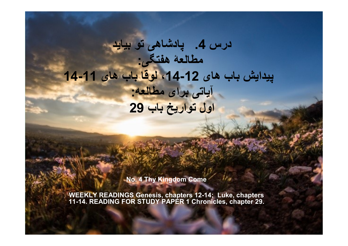# درس 4. پادشاهی تو بيايد مطالعۀ هفتگی: پيدايش باب های 12-14، لوقا باب های 11-14 آياتی برای مطالعه: اول تواريخ باب 29

No. 4 Thy Kingdom Come

WEEKLY READINGS Genesis, chapters 12-14; Luke, chapters 11-14. READING FOR STUDY PAPER 1 Chronicles, chapter 29.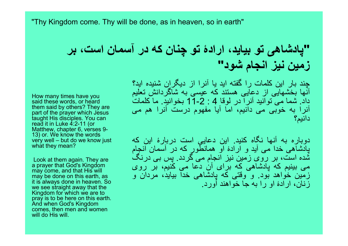"Thy Kingdom come. Thy will be done, as in heaven, so in earth"

"پادشاهی تو بيايد، ارادۀ تو چنان که در آسمان است، بر زمين نيز انجام شود"

چند بار اين کلمات را گفته ايد يا آنرا از ديگران شنيده ايد؟ آنها بخشهايی از دعايی هستند که عيسی به شاگردانش تعليم داد. شما می توانيد آنرا در لوقا 4 : 11-2 بخوانيد. ما کلمات آنرا به خوبی می دانيم، اما آيا مفهوم درست آنرا هم می دانيم؟

دوباره به آنها نگاه کنيد. اين دعايی است دربارۀ اين که پادشاهی خدا می آيد و ارادۀ او همانطور که در آسمان انجام شده است، بر روی زمين نيز انجام می گردد. پس بی درنگ می بينيم که پادشاهی که برای آن دعا می کنيم، بر روی زمين خواهد بود. و وقتی که پادشاهی خدا بيايد، مردان و زنان، ارادۀ او را به جا خواهند آورد.

How many times have you said these words, or heard them said by others? They are part of the prayer which Jesus taught His disciples. You can read it in Luke 4:2-11 (or Matthew, chapter 6, verses 9- 13) or. We know the words very well – but do we know just what they mean?

Look at them again. They are a prayer that God's Kingdom may come, and that His will may be done on this earth, as it is always done in heaven. So we see straight away that the Kingdom for which we are to pray is to be here on this earth. And when God's Kingdom comes, then men and women will do His will.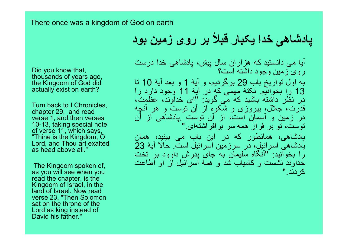#### There once was a kingdom of God on earth

# پادشاهی خدا یکبار قبلاً بر روی زمین بود

Did you know that, thousands of years ago, the Kingdom of God did actually exist on earth?

Turn back to I Chronicles, chapter 29, and read verse 1, and then verses 10-13, taking special note of verse 11, which says, "Thine is the Kingdom, O Lord, and Thou art exalted as head above all."

The Kingdom spoken of, as you will see when you read the chapter, is the Kingdom of Israel, in the land of Israel. Now read verse 23, "Then Solomon sat on the throne of the Lord as king instead of David his father."

آيا می دانستيد که هزاران سال پيش، پادشاهی خدا درست روی زمين وجود داشته است؟ به اول تواريخ باب 29 برگرديم، و آيۀ 1 و بعد آيۀ 10 تا 13 را بخوانيم. نکتۀ مهمی که در آيۀ 11 وجود دارد را در نظر داشته باشيد که می گويد: "ای خداوند، عظمت، قدرت، جلال، پيروزی و شکوه از آن توست و هر آنچه در زمين و آسمان است، از آن توست .پادشاهی از آن توست، تو بر فراز همه سر برافراشته ای." پادشاهی، همانطور که در اين باب می بينيد، همان پادشاهی اسرائيل، در سرزمين اسرائيل است. حالا آيۀ 23 را بخوانيد: "آنگاه سليمان به جای پدرش داوود بر تخت خداوند نشست و کامياب شد و همۀ اسرائيل از او اطاعت کردند."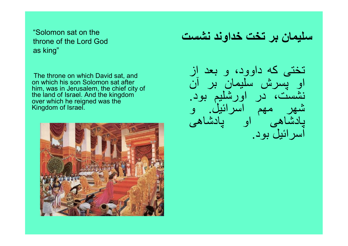"Solomon sat on the throne of the Lord God as king"

The throne on which David sat, and on which his son Solomon sat after him, was in Jerusalem, the chief city of the land of Israel. And the kingdom over which he reigned was the Kingdom of Israel.



سليمان بر تخت خداوند نشست

تختی که داوود، و بعد از او پسرش سليمان بر آن نشست، در اورشليم بود. شهر مهم اسرائيل. و پادشاهی او پادشاهی اسرائيل بود.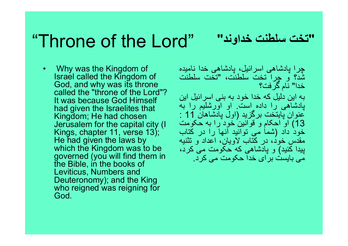# "Throne of the Lord"

"تخت سلطنت خداوند"

• Why was the Kingdom of Israel called the Kingdom of God, and why was its throne called the "throne of the Lord"? It was because God Himself had given the Israelites that Kingdom; He had chosen Jerusalem for the capital city (I Kings, chapter 11, verse 13); He had given the laws by which the Kingdom was to be governed (you will find them in the Bible, in the books of Leviticus, Numbers and Deuteronomy); and the King who reigned was reigning for God.

چرا پادشاهی اسرائيل، پادشاهی خدا ناميده شد؟ و چرا تخت سلطنت، "تخت سلطنت خدا" نام گرفت؟ به اين دليل که خدا خود به بنی اسرائيل اين پادشاهی را داده است. او اورشليم را به عنوان پايتخت برگزيد (اول پادشاهان 11 : 13) او احکام و قوانين خود را به حکومت خود داد (شما می توانيد آنها را در کتاب مقدس خود، در کتاب لاويان، اعداد و تثنيه پيدا کنيد) و پادشاهی که حکومت می کرد، می بايست برای خدا حکومت می کرد.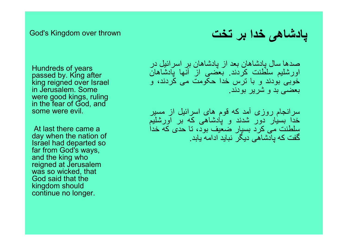#### God's Kingdom over thrown

Hundreds of years passed by. King after king reigned over Israel in Jerusalem. Some were good kings, ruling in the fear of God, and some were evil.

At last there came a day when the nation of Israel had departed so far from God's ways, and the king who reigned at Jerusalem was so wicked, that God said that the kingdom should continue no longer.

پادشاهی خدا بر تخت

صدها سال پادشاهان بعد از پادشاهان بر اسرائيل در اورشليم سلطنت کردند. بعضی از آنها پادشاهان خوبی بودند و با ترس خدا حکومت می کردند، و بعضی بد و شرير بودند.

سرانجام روزی آمد که قوم های اسرائيل از مسير خدا بسيار دور شدند و پادشاهی که بر اورشليم سلطنت می کرد بسيار ضعيف بود، تا حدی که خدا گفت که پادشاهی ديگر نبايد ادامه يابد.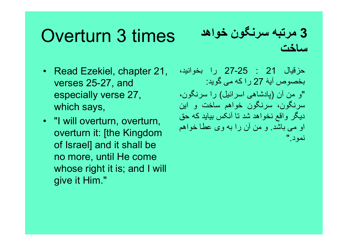# Overturn 3 times

- Read Ezekiel, chapter 21, verses 25-27, and especially verse 27, which says,
- "I will overturn, overturn, overturn it: [the Kingdom of Israel] and it shall be no more, until He come whose right it is; and I will give it Him."

### 3 مرتبه سرنگون خواهد ساخت

حزقيال 21 : 27-25 را بخوانيد، بخصوص آيۀ 27 را که می گويد: "و من آن (پادشاهی اسرائيل) را سرنگون، سرنگون، سرنگون خواهم ساخت و اين ديگر واقع نخواهد شد تا آنکس بيايد که حق او می باشد. و من آن را به وی عطا خواهم نمود."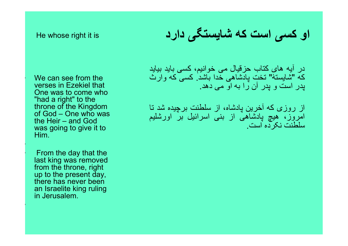#### He whose right it is

We can see from the verses in Ezekiel that One was to come who "had a right" to the throne of the Kingdom of God – One who was the Heir – and God was going to give it to Him.

• From the day that the last king was removed from the throne, right up to the present day, there has never been an Israelite king ruling in Jerusalem.

•

•

# او کسی است که شايستگی دارد

در آيه های کتاب حزقيال می خوانيم، کسی بايد بيايد که "شايستۀ" تخت پادشاهی خدا باشد. کسی که وارث پدر است و پدر آن را به او می دهد.

از روزی که آخرين پادشاه، از سلطنت برچيده شد تا امروز، هيچ پادشاهی از بنی اسرائيل بر اورشليم سلطنت نکرده است.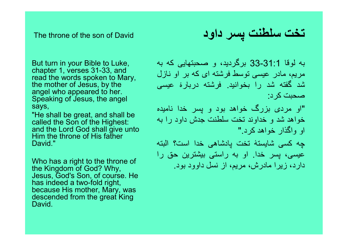The throne of the son of David

But turn in your Bible to Luke, chapter 1, verses 31-33, and read the words spoken to Mary, the mother of Jesus, by the angel who appeared to her. Speaking of Jesus, the angel says,

"He shall be great, and shall be called the Son of the Highest: and the Lord God shall give unto Him the throne of His father David<sup>"</sup>

Who has a right to the throne of the Kingdom of God? Why, Jesus, God's Son, of course. He has indeed a two-fold right, because His mother, Mary, was descended from the great King David.

تخت سلطنت پسر داود

به لوقا 33-31:1 برگرديد، و صحبتهايی که به مريم، مادر عيسی توسط فرشته ای که بر او نازل شد گفته شد را بخوانيد. فرشته دربارۀ عيسی صحبت کرد:

"او مردی بزرگ خواهد بود و پسر خدا ناميده خواهد شد و خداوند تخت سلطنت جدش داود را به او واگذار خواهد کرد."

چه کسی شايستۀ تخت پادشاهی خدا است؟ البته عيسی، پسر خدا. او به راستی بيشترين حق را دارد، زيرا مادرش، مريم، از نسل داوود بود.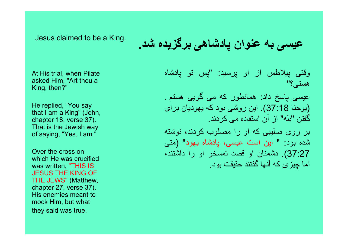Jesus claimed to be a King.

عيسی به عنوان پادشاهی برگزيده شد.

At His trial, when Pilate asked Him, "Art thou a King, then?"

He replied, "You say that I am a King" (John, chapter 18, verse 37). That is the Jewish way of saying, "Yes, I am."

Over the cross on which He was crucified was written, "THIS IS JESUS THE KING OF THE JEWS" (Matthew, chapter 27, verse 37). His enemies meant to mock Him, but what they said was true.

وقتی پيلاطس از او پرسيد: "پس تو پادشاه هستی؟"

عيسی پاسخ داد: همانطور كه می گويی هستم . (يوحنا 37:18). اين روشی بود که يهوديان برای گفتن "بله" از آن استفاده می کردند.

بر روی صليبی که او را مصلوب کردند، نوشته شده بود: " اين است عيسی، پادشاه يهود" (متی 37:27). دشمنان او قصد تمسخر او را داشتند، اما چيزی که آنها گفتند حقيقت بود.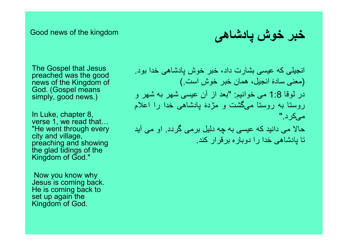#### Good news of the kingdom

خبر خوش پادشاهی

The Gospel that Jesus preached was the good news of the Kingdom of God. (Gospel means simply, good news.)

In Luke, chapter 8, verse 1, we read that… "He went through every city and village, preaching and showing the glad tidings of the Kingdom of God."

Now you know why Jesus is coming back. He is coming back to set up again the Kingdom of God.

انجيلی که عيسی بشارت داد، خبر خوش پادشاهی خدا بود. (معنی سادۀ انجيل، همان خبر خوش است.) در لوقا 1:8 می خوانيم: "بعد از آن عيسی شهر به شهر و روستا به روستا می گشت و مژدۀ پادشاهی خدا را اعلام می کرد."

حالا می دانيد که عيسی به چه دليل برمی گردد. او می آيد تا پادشاهی خدا را دوباره برقرار کند.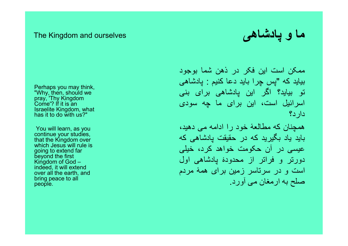#### The Kingdom and ourselves

ما و پادشاهی

• Perhaps you may think, "Why, then, should we pray, 'Thy Kingdom Come'? If it is an Israelite Kingdom, what has it to do with us?"

You will learn, as you continue your studies, that the Kingdom over which Jesus will rule is going to extend far beyond the first Kingdom of God – indeed, it will extend over all the earth, and bring peace to all people.

•

ممکن است اين فکر در ذهن شما بوجود پس چرا بايد دعا کنيم : پادشاهی بيايد که " تو بيايد؟ اگر اين پادشاهی برای بنی اسرائيل است، اين برای ما چه سودی دارد؟

همچنان که مطالعۀ خود را ادامه می دهيد، بايد ياد بگيريد که در حقيقت پادشاهی که عيسی در آن حکومت خواهد کرد، خيلی دورتر و فراتر از محدودۀ پادشاهی اول است و در سرتاسر زمين برای همۀ مردم<br>صلح به ارمغان می آورد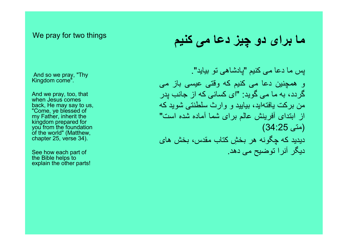#### We pray for two things

And so we pray, "Thy Kingdom come".

And we pray, too, that when Jesus comes back, He may say to us, "Come, ye blessed of my Father, inherit the kingdom prepared for you from the foundation of the world" (Matthew, chapter 25, verse 34).

See how each part of the Bible helps to explain the other parts!

### ما برای دو چيز دعا می کنيم

پس ما دعا می کنيم "پادشاهی تو بيايد". و همچنين دعا می کنيم که وقتی عيسی باز می گردد، به ما می گويد: "ای کسانی که از جانب پدر من بركت يافته ايد، بياييد و وارث سلطنتی شويد كه از ابتدای آفرينش عالم برای شما آماده شده است" (متی 34:25) ديديد که چگونه هر بخشِ کتاب مقدس، بخش های ديگر آنرا توضيح می دهد.